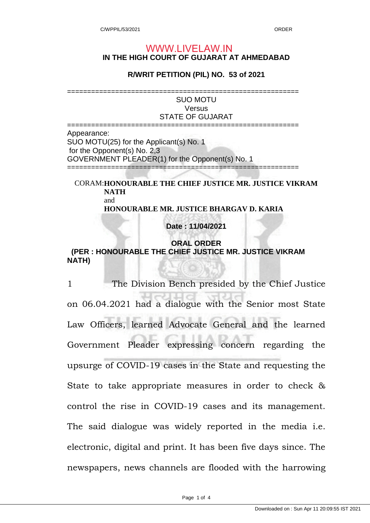## **IN THE HIGH COURT OF GUJARAT AT AHMEDABAD** WWW.LIVELAW.IN

## **R/WRIT PETITION (PIL) NO. 53 of 2021**

========================================================== SUO MOTU **Versus** STATE OF GUJARAT ========================================================== Appearance:

SUO MOTU(25) for the Applicant(s) No. 1 for the Opponent(s) No. 2,3 GOVERNMENT PLEADER(1) for the Opponent(s) No. 1 ==========================================================

CORAM: **HONOURABLE THE CHIEF JUSTICE MR. JUSTICE VIKRAM NATH** and **HONOURABLE MR. JUSTICE BHARGAV D. KARIA**

**Date : 11/04/2021** 

**ORAL ORDER (PER : HONOURABLE THE CHIEF JUSTICE MR. JUSTICE VIKRAM NATH)** 

1 The Division Bench presided by the Chief Justice on 06.04.2021 had a dialogue with the Senior most State Law Officers, learned Advocate General and the learned Government Pleader expressing concern regarding the upsurge of COVID-19 cases in the State and requesting the State to take appropriate measures in order to check & control the rise in COVID-19 cases and its management. The said dialogue was widely reported in the media i.e. electronic, digital and print. It has been five days since. The newspapers, news channels are flooded with the harrowing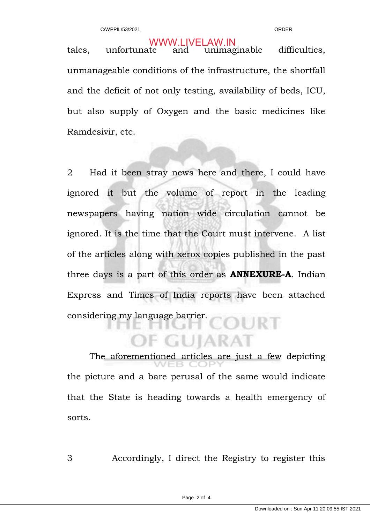tales, unfortunate and unimaginable difficulties, unmanageable conditions of the infrastructure, the shortfall and the deficit of not only testing, availability of beds, ICU, but also supply of Oxygen and the basic medicines like Ramdesivir, etc. WWW.LIVELAW.IN

2 Had it been stray news here and there, I could have ignored it but the volume of report in the leading newspapers having nation wide circulation cannot be ignored. It is the time that the Court must intervene. A list of the articles along with xerox copies published in the past three days is a part of this order as **ANNEXURE-A**. Indian Express and Times of India reports have been attached considering my language barrier. IJRT

 The aforementioned articles are just a few depicting the picture and a bare perusal of the same would indicate that the State is heading towards a health emergency of sorts.

*FGUIARAT* 

3 Accordingly, I direct the Registry to register this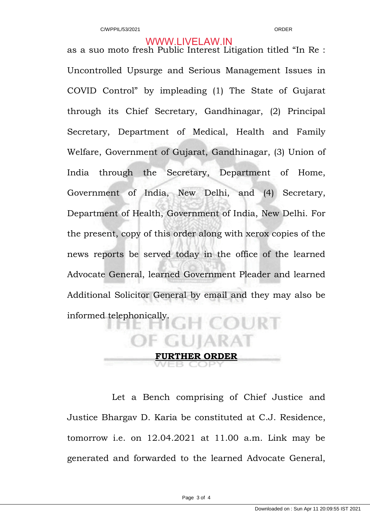## WWW.LIVELAW.IN

as a suo moto fresh Public Interest Litigation titled "In Re : Uncontrolled Upsurge and Serious Management Issues in COVID Control" by impleading (1) The State of Gujarat through its Chief Secretary, Gandhinagar, (2) Principal Secretary, Department of Medical, Health and Family Welfare, Government of Gujarat, Gandhinagar, (3) Union of India through the Secretary, Department of Home, Government of India, New Delhi, and (4) Secretary, Department of Health, Government of India, New Delhi. For the present, copy of this order along with xerox copies of the news reports be served today in the office of the learned Advocate General, learned Government Pleader and learned Additional Solicitor General by email and they may also be informed telephonically.

**HER ORDER** 

 Let a Bench comprising of Chief Justice and Justice Bhargav D. Karia be constituted at C.J. Residence, tomorrow i.e. on 12.04.2021 at 11.00 a.m. Link may be generated and forwarded to the learned Advocate General,